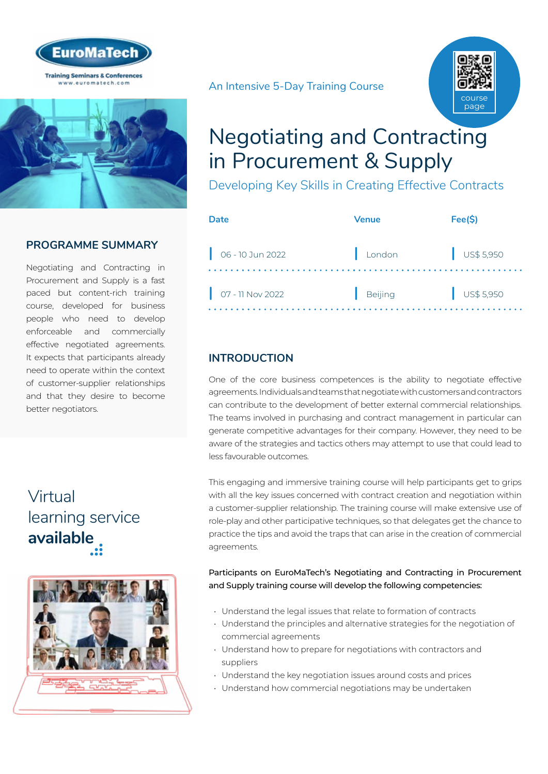



## **PROGRAMME SUMMARY**

Negotiating and Contracting in Procurement and Supply is a fast paced but content-rich training course, developed for business people who need to develop enforceable and commercially effective negotiated agreements. It expects that participants already need to operate within the context of customer-supplier relationships and that they desire to become better negotiators.

## Virtual [learning service](https://www.euromatech.com/seminars/negotiating-and-contracting-in-procurement-supply-1/)  **available**



An Intensive 5-Day Training Course



## Negotiating and Contracting in Procurement & Supply

Developing Key Skills in Creating Effective Contracts

| Date                                                                              | <b>Venue</b>   | Fee(S)               |
|-----------------------------------------------------------------------------------|----------------|----------------------|
| $\bigcup$ 06 - 10 Jun 2022                                                        | London         | $\bigcup$ US\$ 5,950 |
| $\begin{array}{ c c c c c } \hline 07 - 11 & \text{Nov } 2022 \hline \end{array}$ | <b>Beijing</b> | $\bigcup$ US\$ 5,950 |

## **INTRODUCTION**

One of the core business competences is the ability to negotiate effective agreements. Individuals and teams that negotiate with customers and contractors can contribute to the development of better external commercial relationships. The teams involved in purchasing and contract management in particular can generate competitive advantages for their company. However, they need to be aware of the strategies and tactics others may attempt to use that could lead to less favourable outcomes.

This engaging and immersive training course will help participants get to grips with all the key issues concerned with contract creation and negotiation within a customer-supplier relationship. The training course will make extensive use of role-play and other participative techniques, so that delegates get the chance to practice the tips and avoid the traps that can arise in the creation of commercial agreements.

#### Participants on EuroMaTech's Negotiating and Contracting in Procurement and Supply training course will develop the following competencies:

- Understand the legal issues that relate to formation of contracts
- Understand the principles and alternative strategies for the negotiation of commercial agreements
- Understand how to prepare for negotiations with contractors and suppliers
- Understand the key negotiation issues around costs and prices
- Understand how commercial negotiations may be undertaken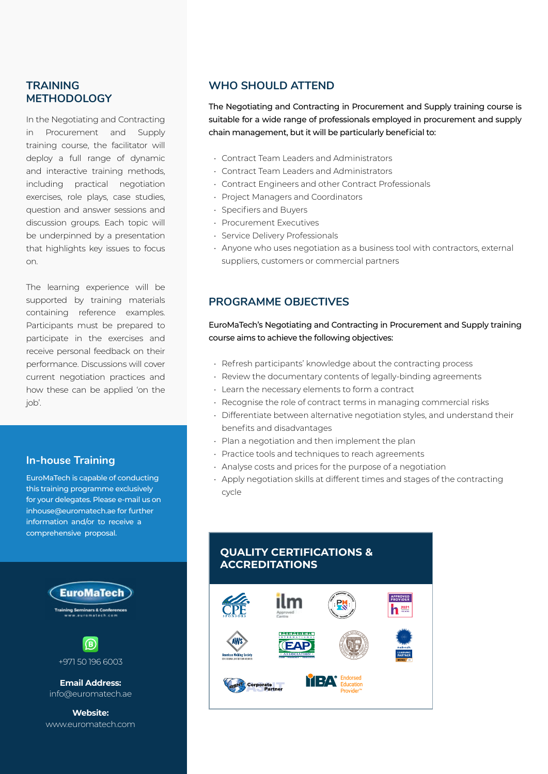### **TRAINING METHODOLOGY**

In the Negotiating and Contracting in Procurement and Supply training course, the facilitator will deploy a full range of dynamic and interactive training methods, including practical negotiation exercises, role plays, case studies, question and answer sessions and discussion groups. Each topic will be underpinned by a presentation that highlights key issues to focus on.

The learning experience will be supported by training materials containing reference examples. Participants must be prepared to participate in the exercises and receive personal feedback on their performance. Discussions will cover current negotiation practices and how these can be applied 'on the job'.

### **In-house Training**

EuroMaTech is capable of conducting this training programme exclusively for your delegates. Please e-mail us on inhouse@euromatech.ae for further information and/or to receive a comprehensive proposal.



www.euromatech.com

### **WHO SHOULD ATTEND**

The Negotiating and Contracting in Procurement and Supply training course is suitable for a wide range of professionals employed in procurement and supply chain management, but it will be particularly beneficial to:

- Contract Team Leaders and Administrators
- Contract Team Leaders and Administrators
- Contract Engineers and other Contract Professionals
- Project Managers and Coordinators
- Specifiers and Buyers
- Procurement Executives
- Service Delivery Professionals
- Anyone who uses negotiation as a business tool with contractors, external suppliers, customers or commercial partners

### **PROGRAMME OBJECTIVES**

EuroMaTech's Negotiating and Contracting in Procurement and Supply training course aims to achieve the following objectives:

- Refresh participants' knowledge about the contracting process
- Review the documentary contents of legally-binding agreements
- Learn the necessary elements to form a contract
- Recognise the role of contract terms in managing commercial risks
- Differentiate between alternative negotiation styles, and understand their benefits and disadvantages
- Plan a negotiation and then implement the plan
- Practice tools and techniques to reach agreements
- Analyse costs and prices for the purpose of a negotiation
- Apply negotiation skills at different times and stages of the contracting cycle

#### **QUALITY CERTIFICATIONS & ACCREDITATIONS**

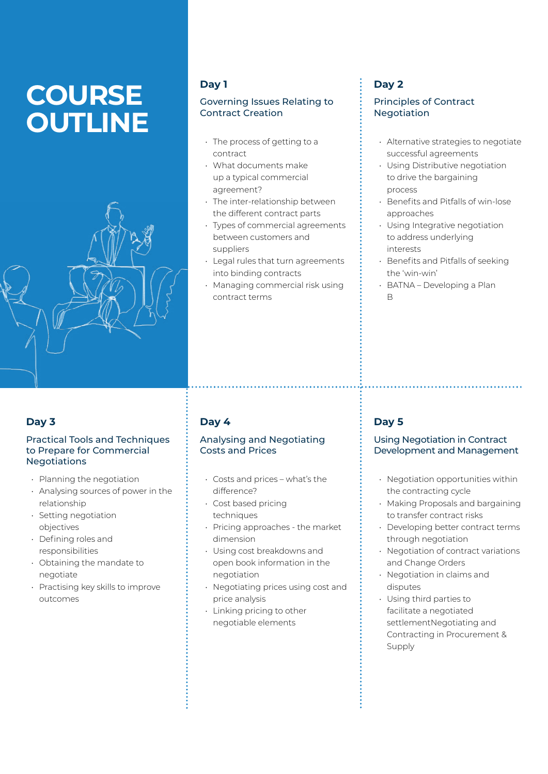# **COURSE OUTLINE**



### **Day 1**

#### Governing Issues Relating to Contract Creation

- The process of getting to a contract
- What documents make up a typical commercial agreement?
- The inter-relationship between the different contract parts
- Types of commercial agreements between customers and suppliers
- Legal rules that turn agreements into binding contracts
- Managing commercial risk using contract terms

## **Day 2**

#### Principles of Contract Negotiation

- Alternative strategies to negotiate successful agreements
- Using Distributive negotiation to drive the bargaining process
- Benefits and Pitfalls of win-lose approaches
- Using Integrative negotiation to address underlying interests
- Benefits and Pitfalls of seeking the 'win-win'
- BATNA Developing a Plan B

## **Day 3**

#### Practical Tools and Techniques to Prepare for Commercial **Negotiations**

- Planning the negotiation
- Analysing sources of power in the relationship
- Setting negotiation objectives
- Defining roles and responsibilities
- Obtaining the mandate to negotiate
- Practising key skills to improve outcomes

## **Day 4**

#### Analysing and Negotiating Costs and Prices

- Costs and prices what's the difference?
- Cost based pricing techniques
- Pricing approaches the market dimension
- Using cost breakdowns and open book information in the negotiation
- Negotiating prices using cost and price analysis
- Linking pricing to other negotiable elements

## **Day 5**

#### Using Negotiation in Contract Development and Management

- Negotiation opportunities within the contracting cycle
- Making Proposals and bargaining to transfer contract risks
- Developing better contract terms through negotiation
- Negotiation of contract variations and Change Orders
- Negotiation in claims and disputes
- Using third parties to facilitate a negotiated settlementNegotiating and Contracting in Procurement & Supply